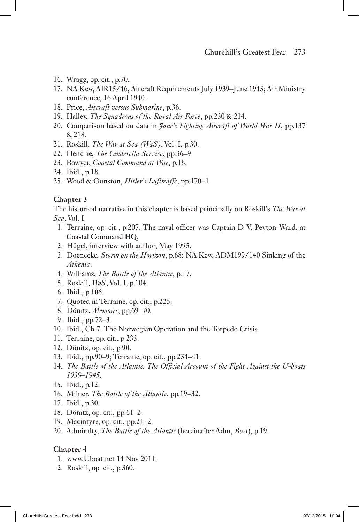- 16. Wragg, op. cit., p.70.
- 17. NA Kew, AIR15/46, Aircraft Requirements July 1939–June 1943; Air Ministry conference, 16 April 1940.
- 18. Price, *Aircraft versus Submarine*, p.36.
- 19. Halley, *The Squadrons of the Royal Air Force*, pp.230 & 214.
- 20. Comparison based on data in *Jane's Fighting Aircraft of World War II*, pp.137 & 218.
- 21. Roskill, *The War at Sea (WaS)*, Vol. I, p.30.
- 22. Hendrie, *The Cinderella Service*, pp.36–9.
- 23. Bowyer, *Coastal Command at War*, p.16.
- 24. Ibid., p.18.
- 25. Wood & Gunston, *Hitler's Luftwaffe*, pp.170–1.

## **Chapter 3**

The historical narrative in this chapter is based principally on Roskill's *The War at Sea*, Vol. I.

- 1. Terraine, op. cit., p.207. The naval officer was Captain D. V. Peyton-Ward, at Coastal Command HQ.
- 2. Hügel, interview with author, May 1995.
- 3. Doenecke, *Storm on the Horizon*, p.68; NA Kew, ADM199/140 Sinking of the *Athenia*.
- 4. Williams, *The Battle of the Atlantic*, p.17.
- 5. Roskill, *WaS*, Vol. I, p.104.
- 6. Ibid., p.106.
- 7. Quoted in Terraine, op. cit., p.225.
- 8. Dönitz, *Memoirs*, pp.69–70.
- 9. Ibid., pp.72–3.
- 10. Ibid., Ch.7. The Norwegian Operation and the Torpedo Crisis.
- 11. Terraine, op. cit., p.233.
- 12. Dönitz, op. cit., p.90.
- 13. Ibid., pp.90–9; Terraine, op. cit., pp.234–41.
- 14. *The Battle of the Atlantic. The Of!cial Account of the Fight Against the U-boats 1939–1945.*
- 15. Ibid., p.12.
- 16. Milner, *The Battle of the Atlantic*, pp.19–32.
- 17. Ibid., p.30.
- 18. Dönitz, op. cit., pp.61–2.
- 19. Macintyre, op. cit., pp.21–2.
- 20. Admiralty, *The Battle of the Atlantic* (hereinafter Adm, *BoA*), p.19.

## C**hapter 4**

- 1. www.Uboat.net 14 Nov 2014.
- 2. Roskill, op. cit., p.360.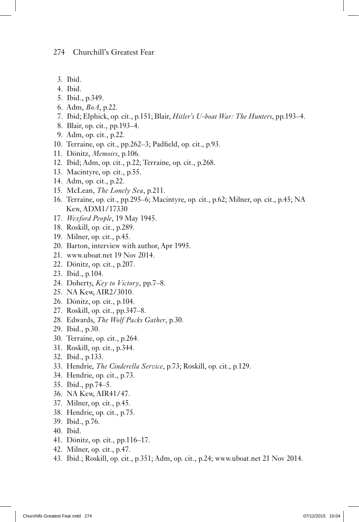- 3. Ibid.
- 4. Ibid.
- 5. Ibid., p.349.
- 6. Adm, *BoA*, p.22.
- 7. Ibid; Elphick, op. cit., p.151; Blair, *Hitler's U-boat War: The Hunters*, pp.193–4.
- 8. Blair, op. cit., pp.193–4.
- 9. Adm, op. cit., p.22.
- 10. Terraine, op. cit., pp.262–3; Padfield, op. cit., p.93.
- 11. Dönitz, *Memoirs*, p.106.
- 12. Ibid; Adm, op. cit., p.22; Terraine, op. cit., p.268.
- 13. Macintyre, op. cit., p.55.
- 14. Adm, op. cit., p.22.
- 15. McLean, *The Lonely Sea*, p.211.
- 16. Terraine, op. cit., pp.295–6; Macintyre, op. cit., p.62; Milner, op. cit., p.45; NA Kew, ADM1/17330
- 17. *Wexford People*, 19 May 1945.
- 18. Roskill, op. cit., p.289.
- 19. Milner, op. cit., p.45.
- 20. Barton, interview with author, Apr 1995.
- 21. www.uboat.net 19 Nov 2014.
- 22. Dönitz, op. cit., p.207.
- 23. Ibid., p.104.
- 24. Doherty, *Key to Victory*, pp.7–8.
- 25. NA Kew, AIR2/3010.
- 26. Dönitz, op. cit., p.104.
- 27. Roskill, op. cit., pp.347–8.
- 28. Edwards, *The Wolf Packs Gather*, p.30.
- 29. Ibid., p.30.
- 30. Terraine, op. cit., p.264.
- 31. Roskill, op. cit., p.344.
- 32. Ibid., p.133.
- 33. Hendrie, *The Cinderella Service*, p.73; Roskill, op. cit., p.129.
- 34. Hendrie, op. cit., p.73.
- 35. Ibid., pp.74–5.
- 36. NA Kew, AIR41/47.
- 37. Milner, op. cit., p.45.
- 38. Hendrie, op. cit., p.75.
- 39. Ibid., p.76.
- 40. Ibid.
- 41. Dönitz, op. cit., pp.116–17.
- 42. Milner, op. cit., p.47.
- 43. Ibid.; Roskill, op. cit., p.351; Adm, op. cit., p.24; www.uboat.net 21 Nov 2014.